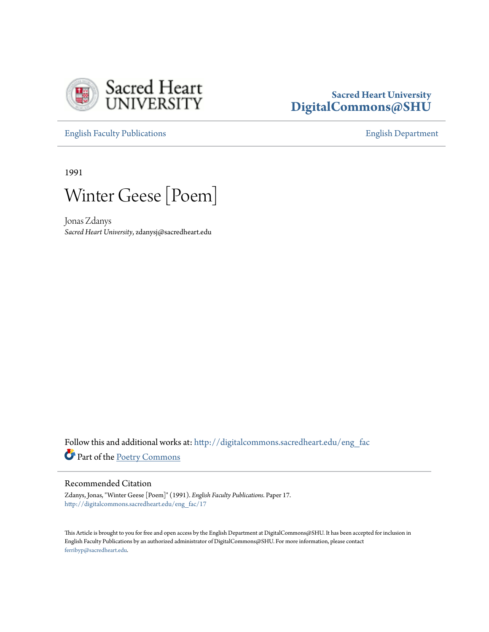

## **Sacred Heart University [DigitalCommons@SHU](http://digitalcommons.sacredheart.edu?utm_source=digitalcommons.sacredheart.edu%2Feng_fac%2F17&utm_medium=PDF&utm_campaign=PDFCoverPages)**

[English Faculty Publications](http://digitalcommons.sacredheart.edu/eng_fac?utm_source=digitalcommons.sacredheart.edu%2Feng_fac%2F17&utm_medium=PDF&utm_campaign=PDFCoverPages) [English Department](http://digitalcommons.sacredheart.edu/eng?utm_source=digitalcommons.sacredheart.edu%2Feng_fac%2F17&utm_medium=PDF&utm_campaign=PDFCoverPages)

1991



Jonas Zdanys *Sacred Heart University*, zdanysj@sacredheart.edu

Follow this and additional works at: [http://digitalcommons.sacredheart.edu/eng\\_fac](http://digitalcommons.sacredheart.edu/eng_fac?utm_source=digitalcommons.sacredheart.edu%2Feng_fac%2F17&utm_medium=PDF&utm_campaign=PDFCoverPages) Part of the [Poetry Commons](http://network.bepress.com/hgg/discipline/1153?utm_source=digitalcommons.sacredheart.edu%2Feng_fac%2F17&utm_medium=PDF&utm_campaign=PDFCoverPages)

## Recommended Citation

Zdanys, Jonas, "Winter Geese [Poem]" (1991). *English Faculty Publications.* Paper 17. [http://digitalcommons.sacredheart.edu/eng\\_fac/17](http://digitalcommons.sacredheart.edu/eng_fac/17?utm_source=digitalcommons.sacredheart.edu%2Feng_fac%2F17&utm_medium=PDF&utm_campaign=PDFCoverPages)

This Article is brought to you for free and open access by the English Department at DigitalCommons@SHU. It has been accepted for inclusion in English Faculty Publications by an authorized administrator of DigitalCommons@SHU. For more information, please contact [ferribyp@sacredheart.edu](mailto:ferribyp@sacredheart.edu).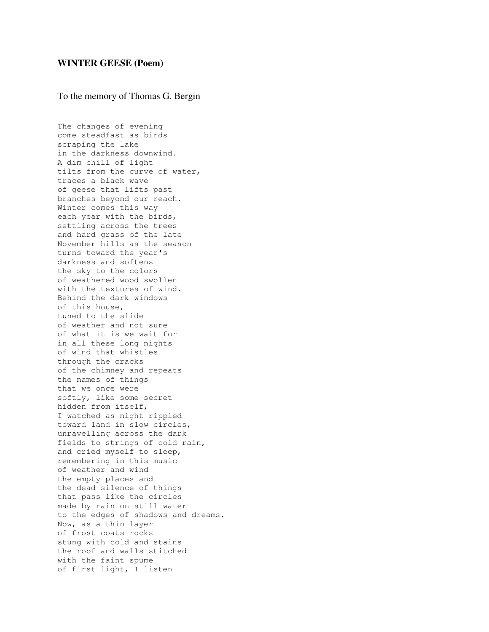## **WINTER GEESE (Poem)**

## To the memory of Thomas G. Bergin

The changes of evening come steadfast as birds scraping the lake in the darkness downwind. A dim chill of light tilts from the curve of water, traces a black wave of geese that lifts past branches beyond our reach. Winter comes this way each year with the birds, settling across the trees and hard grass of the late November hills as the season turns toward the year's darkness and softens the sky to the colors of weathered wood swollen with the textures of wind. Behind the dark windows of this house, tuned to the slide of weather and not sure of what it is we wait for in all these long nights of wind that whistles through the cracks of the chimney and repeats the names of things that we once were softly, like some secret hidden from itself, I watched as night rippled toward land in slow circles, unravelling across the dark fields to strings of cold rain, and cried myself to sleep, remembering in this music of weather and wind the empty places and the dead silence of things that pass like the circles made by rain on still water to the edges of shadows and dreams. Now, as a thin layer of frost coats rocks stung with cold and stains the roof and walls stitched with the faint spume of first light, I listen